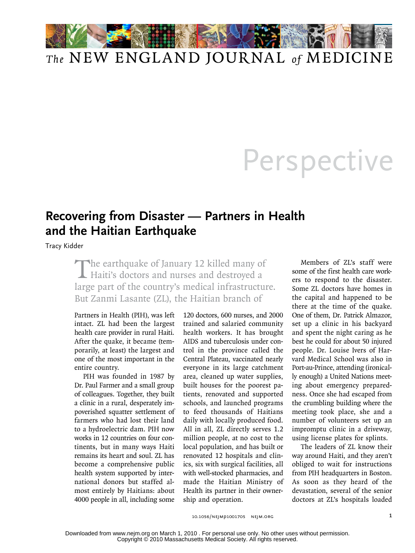

## Perspective

## **Recovering from Disaster — Partners in Health and the Haitian Earthquake**

Tracy Kidder

The earthquake of January 12 killed many of<br>Haiti's doctors and nurses and destroyed a large part of the country's medical infrastructure. But Zanmi Lasante (ZL), the Haitian branch of

Partners in Health (PIH), was left intact. ZL had been the largest health care provider in rural Haiti. After the quake, it became (temporarily, at least) the largest and one of the most important in the entire country.

PIH was founded in 1987 by Dr. Paul Farmer and a small group of colleagues. Together, they built a clinic in a rural, desperately impoverished squatter settlement of farmers who had lost their land to a hydroelectric dam. PIH now works in 12 countries on four continents, but in many ways Haiti remains its heart and soul. ZL has become a comprehensive public health system supported by international donors but staffed almost entirely by Haitians: about 4000 people in all, including some

120 doctors, 600 nurses, and 2000 trained and salaried community health workers. It has brought AIDS and tuberculosis under control in the province called the Central Plateau, vaccinated nearly everyone in its large catchment area, cleaned up water supplies, built houses for the poorest patients, renovated and supported schools, and launched programs to feed thousands of Haitians daily with locally produced food. All in all, ZL directly serves 1.2 million people, at no cost to the local population, and has built or renovated 12 hospitals and clinics, six with surgical facilities, all with well-stocked pharmacies, and made the Haitian Ministry of Health its partner in their ownership and operation.

Members of ZL's staff were some of the first health care workers to respond to the disaster. Some ZL doctors have homes in the capital and happened to be there at the time of the quake. One of them, Dr. Patrick Almazor, set up a clinic in his backyard and spent the night caring as he best he could for about 50 injured people. Dr. Louise Ivers of Harvard Medical School was also in Port-au-Prince, attending (ironically enough) a United Nations meeting about emergency preparedness. Once she had escaped from the crumbling building where the meeting took place, she and a number of volunteers set up an impromptu clinic in a driveway, using license plates for splints.

The leaders of ZL know their way around Haiti, and they aren't obliged to wait for instructions from PIH headquarters in Boston. As soon as they heard of the devastation, several of the senior doctors at ZL's hospitals loaded

10.1056/nejmp1001705 nejm.org 1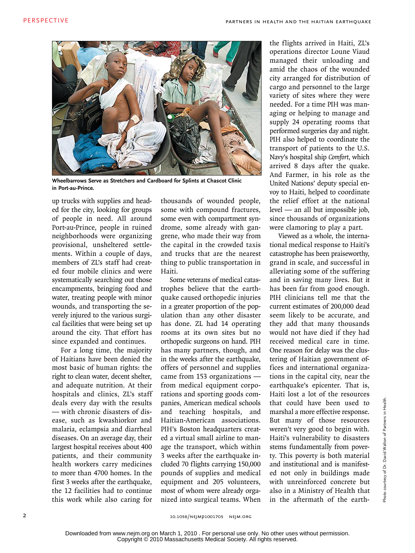

**Wheelbarrows Serve as Stretchers and Cardboard for Splints at Chascot Clinic in Port-au-Prince.**

up trucks with supplies and headed for the city, looking for groups of people in need. All around Port-au-Prince, people in ruined neighborhoods were organizing provisional, unsheltered settlements. Within a couple of days, members of ZL's staff had created four mobile clinics and were systematically searching out those encampments, bringing food and water, treating people with minor wounds, and transporting the severely injured to the various surgical facilities that were being set up around the city. That effort has since expanded and continues.

For a long time, the majority of Haitians have been denied the most basic of human rights: the right to clean water, decent shelter, and adequate nutrition. At their hospitals and clinics, ZL's staff deals every day with the results — with chronic disasters of disease, such as kwashiorkor and malaria, eclampsia and diarrheal diseases. On an average day, their largest hospital receives about 400 patients, and their community health workers carry medicines to more than 4700 homes. In the first 3 weeks after the earthquake, the 12 facilities had to continue this work while also caring for

thousands of wounded people, some with compound fractures, some even with compartment syndrome, some already with gangrene, who made their way from the capital in the crowded taxis and trucks that are the nearest thing to public transportation in Haiti.

Some veterans of medical catastrophes believe that the earthquake caused orthopedic injuries in a greater proportion of the population than any other disaster has done. ZL had 14 operating rooms at its own sites but no orthopedic surgeons on hand. PIH has many partners, though, and in the weeks after the earthquake, offers of personnel and supplies came from 153 organizations from medical equipment corporations and sporting goods companies, American medical schools and teaching hospitals, and Haitian-American associations. PIH's Boston headquarters created a virtual small airline to manage the transport, which within 3 weeks after the earthquake included 70 flights carrying 150,000 pounds of supplies and medical equipment and 205 volunteers, most of whom were already organized into surgical teams. When the flights arrived in Haiti, ZL's operations director Loune Viaud managed their unloading and amid the chaos of the wounded city arranged for distribution of cargo and personnel to the large variety of sites where they were needed. For a time PIH was managing or helping to manage and supply 24 operating rooms that performed surgeries day and night. PIH also helped to coordinate the transport of patients to the U.S. Navy's hospital ship *Comfort*, which arrived 8 days after the quake. And Farmer, in his role as the United Nations' deputy special envoy to Haiti, helped to coordinate the relief effort at the national level — an all but impossible job, since thousands of organizations were clamoring to play a part.

Viewed as a whole, the international medical response to Haiti's catastrophe has been praiseworthy, grand in scale, and successful in alleviating some of the suffering and in saving many lives. But it has been far from good enough. PIH clinicians tell me that the current estimates of 200,000 dead seem likely to be accurate, and they add that many thousands would not have died if they had received medical care in time. One reason for delay was the clustering of Haitian government offices and international organizations in the capital city, near the earthquake's epicenter. That is, Haiti lost a lot of the resources that could have been used to marshal a more effective response. But many of those resources weren't very good to begin with. Haiti's vulnerability to disasters stems fundamentally from poverty. This poverty is both material and institutional and is manifested not only in buildings made with unreinforced concrete but also in a Ministry of Health that in the aftermath of the earth